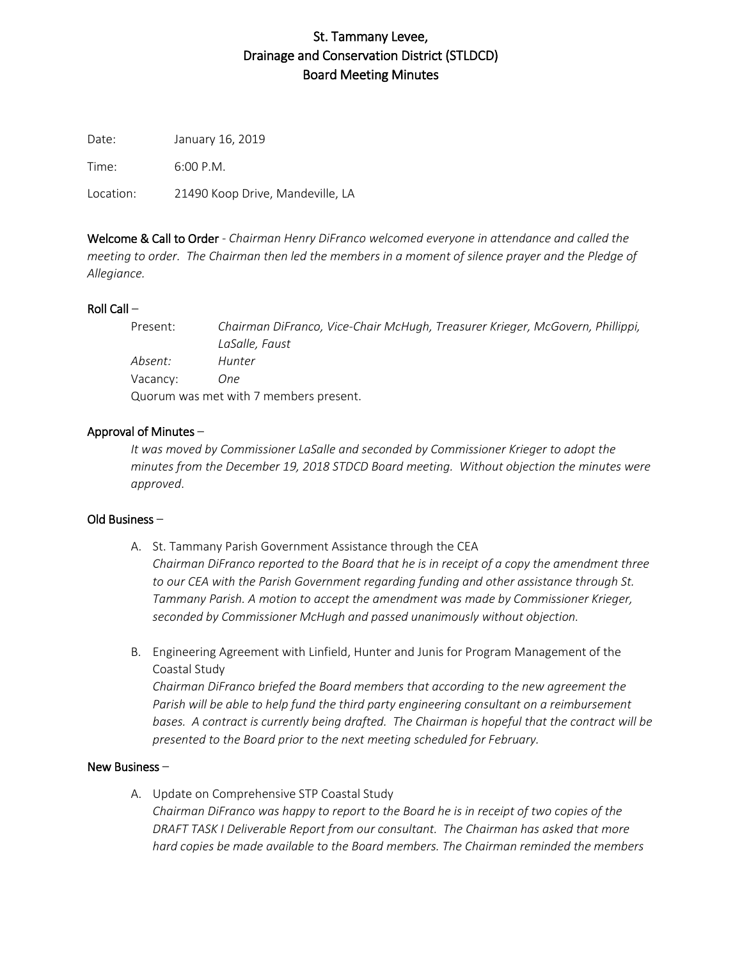# St. Tammany Levee, Drainage and Conservation District (STLDCD) Board Meeting Minutes

Date: January 16, 2019

Time: 6:00 P.M.

Location: 21490 Koop Drive, Mandeville, LA

Welcome & Call to Order - *Chairman Henry DiFranco welcomed everyone in attendance and called the meeting to order. The Chairman then led the members in a moment of silence prayer and the Pledge of Allegiance.*

# Roll Call –

| Present:                               | Chairman DiFranco, Vice-Chair McHugh, Treasurer Krieger, McGovern, Phillippi, |
|----------------------------------------|-------------------------------------------------------------------------------|
|                                        | LaSalle, Faust                                                                |
| Absent:                                | Hunter                                                                        |
| Vacancy:                               | One.                                                                          |
| Quorum was met with 7 members present. |                                                                               |

## Approval of Minutes –

*It was moved by Commissioner LaSalle and seconded by Commissioner Krieger to adopt the minutes from the December 19, 2018 STDCD Board meeting. Without objection the minutes were approved*.

#### Old Business –

- A. St. Tammany Parish Government Assistance through the CEA *Chairman DiFranco reported to the Board that he is in receipt of a copy the amendment three to our CEA with the Parish Government regarding funding and other assistance through St. Tammany Parish. A motion to accept the amendment was made by Commissioner Krieger, seconded by Commissioner McHugh and passed unanimously without objection.*
- B. Engineering Agreement with Linfield, Hunter and Junis for Program Management of the Coastal Study

*Chairman DiFranco briefed the Board members that according to the new agreement the Parish will be able to help fund the third party engineering consultant on a reimbursement bases. A contract is currently being drafted. The Chairman is hopeful that the contract will be presented to the Board prior to the next meeting scheduled for February.*

#### New Business –

A. Update on Comprehensive STP Coastal Study *Chairman DiFranco was happy to report to the Board he is in receipt of two copies of the DRAFT TASK I Deliverable Report from our consultant. The Chairman has asked that more hard copies be made available to the Board members. The Chairman reminded the members*